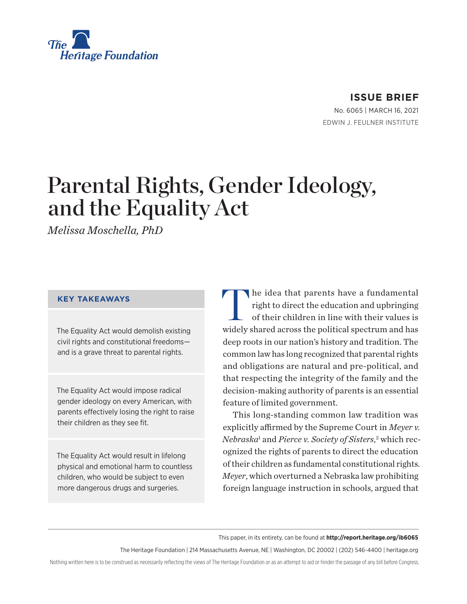

## **ISSUE BRIEF**

No. 6065 | March 16, 2021 EDWIN J. FEULNER INSTITUTE

# Parental Rights, Gender Ideology, and the Equality Act

*Melissa Moschella, PhD*

#### **KEY TAKEAWAYS**

The Equality Act would demolish existing civil rights and constitutional freedoms and is a grave threat to parental rights.

The Equality Act would impose radical gender ideology on every American, with parents effectively losing the right to raise their children as they see fit.

The Equality Act would result in lifelong physical and emotional harm to countless children, who would be subject to even more dangerous drugs and surgeries.

The idea that parents have a fundamental<br>right to direct the education and upbringing<br>of their children in line with their values is right to direct the education and upbringing of their children in line with their values is widely shared across the political spectrum and has deep roots in our nation's history and tradition. The common law has long recognized that parental rights and obligations are natural and pre-political, and that respecting the integrity of the family and the decision-making authority of parents is an essential feature of limited government.

This long-standing common law tradition was explicitly affirmed by the Supreme Court in *Meyer v. Nebraska*<sup>1</sup> and *Pierce v. Society of Sisters*, 2 which recognized the rights of parents to direct the education of their children as fundamental constitutional rights. *Meyer*, which overturned a Nebraska law prohibiting foreign language instruction in schools, argued that

This paper, in its entirety, can be found at **http://report.heritage.org/ib6065**

The Heritage Foundation | 214 Massachusetts Avenue, NE | Washington, DC 20002 | (202) 546-4400 | heritage.org

Nothing written here is to be construed as necessarily reflecting the views of The Heritage Foundation or as an attempt to aid or hinder the passage of any bill before Congress.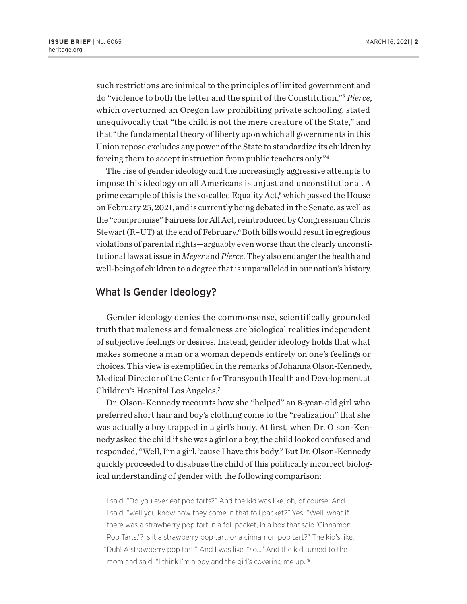such restrictions are inimical to the principles of limited government and do "violence to both the letter and the spirit of the Constitution."3 *Pierce*, which overturned an Oregon law prohibiting private schooling, stated unequivocally that "the child is not the mere creature of the State," and that "the fundamental theory of liberty upon which all governments in this Union repose excludes any power of the State to standardize its children by forcing them to accept instruction from public teachers only."4

The rise of gender ideology and the increasingly aggressive attempts to impose this ideology on all Americans is unjust and unconstitutional. A prime example of this is the so-called Equality Act,<sup>5</sup> which passed the House on February 25, 2021, and is currently being debated in the Senate, as well as the "compromise" Fairness for All Act, reintroduced by Congressman Chris Stewart (R–UT) at the end of February.<sup>6</sup> Both bills would result in egregious violations of parental rights—arguably even worse than the clearly unconstitutional laws at issue in *Meyer* and *Pierce*. They also endanger the health and well-being of children to a degree that is unparalleled in our nation's history.

#### What Is Gender Ideology?

Gender ideology denies the commonsense, scientifically grounded truth that maleness and femaleness are biological realities independent of subjective feelings or desires. Instead, gender ideology holds that what makes someone a man or a woman depends entirely on one's feelings or choices. This view is exemplified in the remarks of Johanna Olson-Kennedy, Medical Director of the Center for Transyouth Health and Development at Children's Hospital Los Angeles.7

Dr. Olson-Kennedy recounts how she "helped" an 8-year-old girl who preferred short hair and boy's clothing come to the "realization" that she was actually a boy trapped in a girl's body. At first, when Dr. Olson-Kennedy asked the child if she was a girl or a boy, the child looked confused and responded, "Well, I'm a girl, 'cause I have this body." But Dr. Olson-Kennedy quickly proceeded to disabuse the child of this politically incorrect biological understanding of gender with the following comparison:

I said, "Do you ever eat pop tarts?" And the kid was like, oh, of course. And I said, "well you know how they come in that foil packet?" Yes. "Well, what if there was a strawberry pop tart in a foil packet, in a box that said 'Cinnamon Pop Tarts.'? Is it a strawberry pop tart, or a cinnamon pop tart?" The kid's like, "Duh! A strawberry pop tart." And I was like, "so…" And the kid turned to the mom and said, "I think I'm a boy and the girl's covering me up."8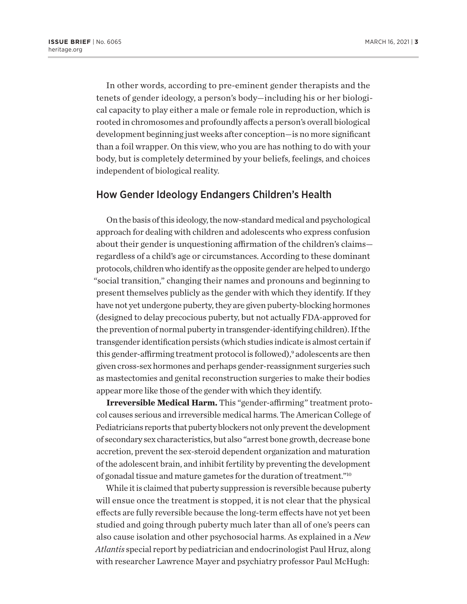In other words, according to pre-eminent gender therapists and the tenets of gender ideology, a person's body—including his or her biological capacity to play either a male or female role in reproduction, which is rooted in chromosomes and profoundly affects a person's overall biological development beginning just weeks after conception—is no more significant than a foil wrapper. On this view, who you are has nothing to do with your body, but is completely determined by your beliefs, feelings, and choices independent of biological reality.

#### How Gender Ideology Endangers Children's Health

On the basis of this ideology, the now-standard medical and psychological approach for dealing with children and adolescents who express confusion about their gender is unquestioning affirmation of the children's claims regardless of a child's age or circumstances. According to these dominant protocols, children who identify as the opposite gender are helped to undergo "social transition," changing their names and pronouns and beginning to present themselves publicly as the gender with which they identify. If they have not yet undergone puberty, they are given puberty-blocking hormones (designed to delay precocious puberty, but not actually FDA-approved for the prevention of normal puberty in transgender-identifying children). If the transgender identification persists (which studies indicate is almost certain if this gender-affirming treatment protocol is followed),<sup>9</sup> adolescents are then given cross-sex hormones and perhaps gender-reassignment surgeries such as mastectomies and genital reconstruction surgeries to make their bodies appear more like those of the gender with which they identify.

**Irreversible Medical Harm.** This "gender-affirming" treatment protocol causes serious and irreversible medical harms. The American College of Pediatricians reports that puberty blockers not only prevent the development of secondary sex characteristics, but also "arrest bone growth, decrease bone accretion, prevent the sex-steroid dependent organization and maturation of the adolescent brain, and inhibit fertility by preventing the development of gonadal tissue and mature gametes for the duration of treatment."10

While it is claimed that puberty suppression is reversible because puberty will ensue once the treatment is stopped, it is not clear that the physical effects are fully reversible because the long-term effects have not yet been studied and going through puberty much later than all of one's peers can also cause isolation and other psychosocial harms. As explained in a *New Atlantis* special report by pediatrician and endocrinologist Paul Hruz, along with researcher Lawrence Mayer and psychiatry professor Paul McHugh: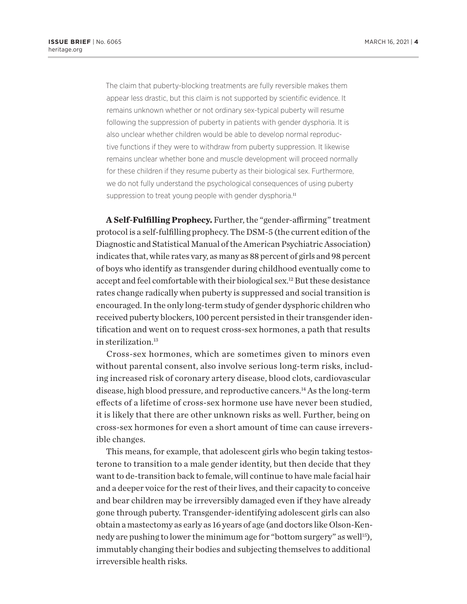The claim that puberty-blocking treatments are fully reversible makes them appear less drastic, but this claim is not supported by scientific evidence. It remains unknown whether or not ordinary sex-typical puberty will resume following the suppression of puberty in patients with gender dysphoria. It is also unclear whether children would be able to develop normal reproductive functions if they were to withdraw from puberty suppression. It likewise remains unclear whether bone and muscle development will proceed normally for these children if they resume puberty as their biological sex. Furthermore, we do not fully understand the psychological consequences of using puberty suppression to treat young people with gender dysphoria.<sup>11</sup>

**A Self-Fulfilling Prophecy.** Further, the "gender-affirming" treatment protocol is a self-fulfilling prophecy. The DSM-5 (the current edition of the Diagnostic and Statistical Manual of the American Psychiatric Association) indicates that, while rates vary, as many as 88 percent of girls and 98 percent of boys who identify as transgender during childhood eventually come to accept and feel comfortable with their biological sex.12 But these desistance rates change radically when puberty is suppressed and social transition is encouraged. In the only long-term study of gender dysphoric children who received puberty blockers, 100 percent persisted in their transgender identification and went on to request cross-sex hormones, a path that results in sterilization.<sup>13</sup>

Cross-sex hormones, which are sometimes given to minors even without parental consent, also involve serious long-term risks, including increased risk of coronary artery disease, blood clots, cardiovascular disease, high blood pressure, and reproductive cancers.14 As the long-term effects of a lifetime of cross-sex hormone use have never been studied, it is likely that there are other unknown risks as well. Further, being on cross-sex hormones for even a short amount of time can cause irreversible changes.

This means, for example, that adolescent girls who begin taking testosterone to transition to a male gender identity, but then decide that they want to de-transition back to female, will continue to have male facial hair and a deeper voice for the rest of their lives, and their capacity to conceive and bear children may be irreversibly damaged even if they have already gone through puberty. Transgender-identifying adolescent girls can also obtain a mastectomy as early as 16 years of age (and doctors like Olson-Kennedy are pushing to lower the minimum age for "bottom surgery" as well<sup>15</sup>), immutably changing their bodies and subjecting themselves to additional irreversible health risks.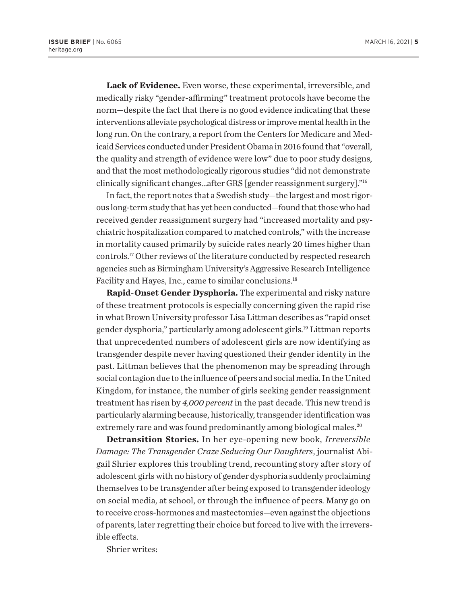**Lack of Evidence.** Even worse, these experimental, irreversible, and medically risky "gender-affirming" treatment protocols have become the norm—despite the fact that there is no good evidence indicating that these interventions alleviate psychological distress or improve mental health in the long run. On the contrary, a report from the Centers for Medicare and Medicaid Services conducted under President Obama in 2016 found that "overall, the quality and strength of evidence were low" due to poor study designs, and that the most methodologically rigorous studies "did not demonstrate clinically significant changes…after GRS [gender reassignment surgery]."16

In fact, the report notes that a Swedish study—the largest and most rigorous long-term study that has yet been conducted—found that those who had received gender reassignment surgery had "increased mortality and psychiatric hospitalization compared to matched controls," with the increase in mortality caused primarily by suicide rates nearly 20 times higher than controls.17 Other reviews of the literature conducted by respected research agencies such as Birmingham University's Aggressive Research Intelligence Facility and Hayes, Inc., came to similar conclusions.18

**Rapid-Onset Gender Dysphoria.** The experimental and risky nature of these treatment protocols is especially concerning given the rapid rise in what Brown University professor Lisa Littman describes as "rapid onset gender dysphoria," particularly among adolescent girls.19 Littman reports that unprecedented numbers of adolescent girls are now identifying as transgender despite never having questioned their gender identity in the past. Littman believes that the phenomenon may be spreading through social contagion due to the influence of peers and social media. In the United Kingdom, for instance, the number of girls seeking gender reassignment treatment has risen by *4,000 percent* in the past decade. This new trend is particularly alarming because, historically, transgender identification was extremely rare and was found predominantly among biological males.<sup>20</sup>

**Detransition Stories.** In her eye-opening new book, *Irreversible Damage: The Transgender Craze Seducing Our Daughters*, journalist Abigail Shrier explores this troubling trend, recounting story after story of adolescent girls with no history of gender dysphoria suddenly proclaiming themselves to be transgender after being exposed to transgender ideology on social media, at school, or through the influence of peers. Many go on to receive cross-hormones and mastectomies—even against the objections of parents, later regretting their choice but forced to live with the irreversible effects.

Shrier writes: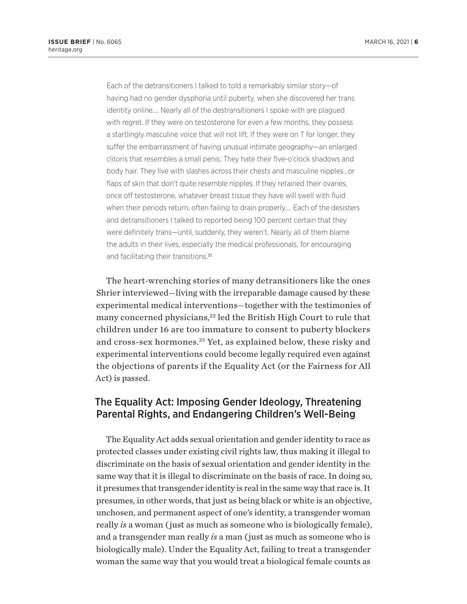Each of the detransitioners I talked to told a remarkably similar story—of having had no gender dysphoria until puberty, when she discovered her trans identity online…. Nearly all of the destransitioners I spoke with are plagued with regret. If they were on testosterone for even a few months, they possess a startlingly masculine voice that will not lift. If they were on T for longer, they suffer the embarrassment of having unusual intimate geography—an enlarged clitoris that resembles a small penis. They hate their five-o'clock shadows and body hair. They live with slashes across their chests and masculine nipples…or flaps of skin that don't quite resemble nipples. If they retained their ovaries, once off testosterone, whatever breast tissue they have will swell with fluid when their periods return, often failing to drain properly…. Each of the desisters and detransitioners I talked to reported being 100 percent certain that they were definitely trans—until, suddenly, they weren't. Nearly all of them blame the adults in their lives, especially the medical professionals, for encouraging and facilitating their transitions.<sup>21</sup>

The heart-wrenching stories of many detransitioners like the ones Shrier interviewed—living with the irreparable damage caused by these experimental medical interventions—together with the testimonies of many concerned physicians,<sup>22</sup> led the British High Court to rule that children under 16 are too immature to consent to puberty blockers and cross-sex hormones.23 Yet, as explained below, these risky and experimental interventions could become legally required even against the objections of parents if the Equality Act (or the Fairness for All Act) is passed.

## The Equality Act: Imposing Gender Ideology, Threatening Parental Rights, and Endangering Children's Well-Being

The Equality Act adds sexual orientation and gender identity to race as protected classes under existing civil rights law, thus making it illegal to discriminate on the basis of sexual orientation and gender identity in the same way that it is illegal to discriminate on the basis of race. In doing so, it presumes that transgender identity is real in the same way that race is. It presumes, in other words, that just as being black or white is an objective, unchosen, and permanent aspect of one's identity, a transgender woman really *is* a woman ( just as much as someone who is biologically female), and a transgender man really *is* a man ( just as much as someone who is biologically male). Under the Equality Act, failing to treat a transgender woman the same way that you would treat a biological female counts as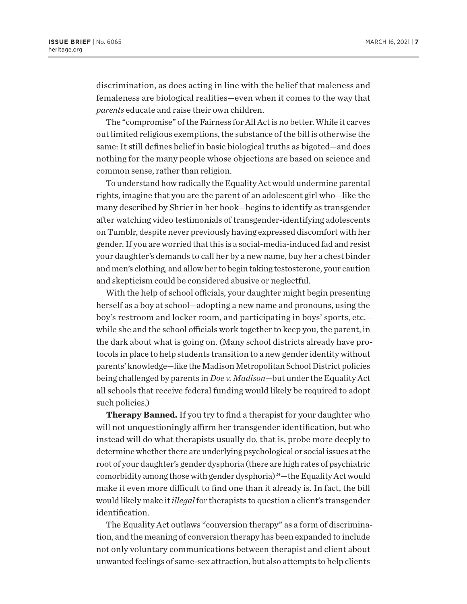discrimination, as does acting in line with the belief that maleness and femaleness are biological realities—even when it comes to the way that *parents* educate and raise their own children.

The "compromise" of the Fairness for All Act is no better. While it carves out limited religious exemptions, the substance of the bill is otherwise the same: It still defines belief in basic biological truths as bigoted—and does nothing for the many people whose objections are based on science and common sense, rather than religion.

To understand how radically the Equality Act would undermine parental rights, imagine that you are the parent of an adolescent girl who—like the many described by Shrier in her book—begins to identify as transgender after watching video testimonials of transgender-identifying adolescents on Tumblr, despite never previously having expressed discomfort with her gender. If you are worried that this is a social-media-induced fad and resist your daughter's demands to call her by a new name, buy her a chest binder and men's clothing, and allow her to begin taking testosterone, your caution and skepticism could be considered abusive or neglectful.

With the help of school officials, your daughter might begin presenting herself as a boy at school—adopting a new name and pronouns, using the boy's restroom and locker room, and participating in boys' sports, etc. while she and the school officials work together to keep you, the parent, in the dark about what is going on. (Many school districts already have protocols in place to help students transition to a new gender identity without parents' knowledge—like the Madison Metropolitan School District policies being challenged by parents in *Doe v. Madison*—but under the Equality Act all schools that receive federal funding would likely be required to adopt such policies.)

**Therapy Banned.** If you try to find a therapist for your daughter who will not unquestioningly affirm her transgender identification, but who instead will do what therapists usually do, that is, probe more deeply to determine whether there are underlying psychological or social issues at the root of your daughter's gender dysphoria (there are high rates of psychiatric comorbidity among those with gender dysphoria)<sup>24</sup>—the Equality Act would make it even more difficult to find one than it already is. In fact, the bill would likely make it *illegal* for therapists to question a client's transgender identification.

The Equality Act outlaws "conversion therapy" as a form of discrimination, and the meaning of conversion therapy has been expanded to include not only voluntary communications between therapist and client about unwanted feelings of same-sex attraction, but also attempts to help clients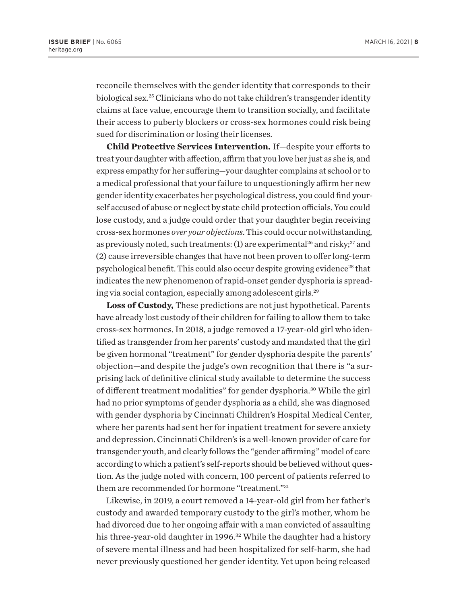reconcile themselves with the gender identity that corresponds to their biological sex.25 Clinicians who do not take children's transgender identity claims at face value, encourage them to transition socially, and facilitate their access to puberty blockers or cross-sex hormones could risk being sued for discrimination or losing their licenses.

**Child Protective Services Intervention.** If—despite your efforts to treat your daughter with affection, affirm that you love her just as she is, and express empathy for her suffering—your daughter complains at school or to a medical professional that your failure to unquestioningly affirm her new gender identity exacerbates her psychological distress, you could find yourself accused of abuse or neglect by state child protection officials. You could lose custody, and a judge could order that your daughter begin receiving cross-sex hormones *over your objections*. This could occur notwithstanding, as previously noted, such treatments: (1) are experimental<sup>26</sup> and risky;<sup>27</sup> and (2) cause irreversible changes that have not been proven to offer long-term psychological benefit. This could also occur despite growing evidence<sup>28</sup> that indicates the new phenomenon of rapid-onset gender dysphoria is spreading via social contagion, especially among adolescent girls.29

**Loss of Custody,** These predictions are not just hypothetical. Parents have already lost custody of their children for failing to allow them to take cross-sex hormones. In 2018, a judge removed a 17-year-old girl who identified as transgender from her parents' custody and mandated that the girl be given hormonal "treatment" for gender dysphoria despite the parents' objection—and despite the judge's own recognition that there is "a surprising lack of definitive clinical study available to determine the success of different treatment modalities" for gender dysphoria.30 While the girl had no prior symptoms of gender dysphoria as a child, she was diagnosed with gender dysphoria by Cincinnati Children's Hospital Medical Center, where her parents had sent her for inpatient treatment for severe anxiety and depression. Cincinnati Children's is a well-known provider of care for transgender youth, and clearly follows the "gender affirming" model of care according to which a patient's self-reports should be believed without question. As the judge noted with concern, 100 percent of patients referred to them are recommended for hormone "treatment."31

Likewise, in 2019, a court removed a 14-year-old girl from her father's custody and awarded temporary custody to the girl's mother, whom he had divorced due to her ongoing affair with a man convicted of assaulting his three-year-old daughter in 1996.<sup>32</sup> While the daughter had a history of severe mental illness and had been hospitalized for self-harm, she had never previously questioned her gender identity. Yet upon being released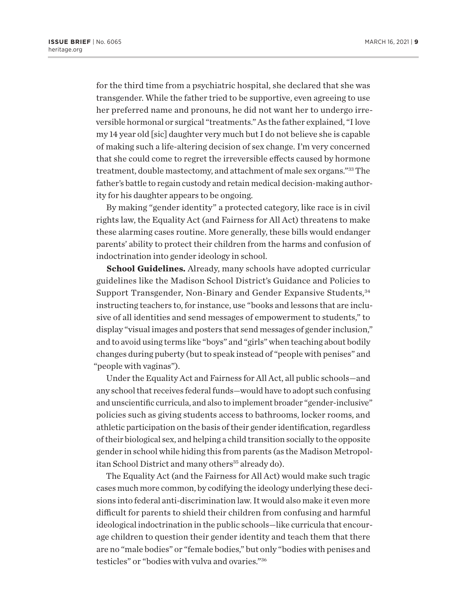for the third time from a psychiatric hospital, she declared that she was transgender. While the father tried to be supportive, even agreeing to use her preferred name and pronouns, he did not want her to undergo irreversible hormonal or surgical "treatments." As the father explained, "I love my 14 year old [sic] daughter very much but I do not believe she is capable of making such a life-altering decision of sex change. I'm very concerned that she could come to regret the irreversible effects caused by hormone treatment, double mastectomy, and attachment of male sex organs."33 The father's battle to regain custody and retain medical decision-making authority for his daughter appears to be ongoing.

By making "gender identity" a protected category, like race is in civil rights law, the Equality Act (and Fairness for All Act) threatens to make these alarming cases routine. More generally, these bills would endanger parents' ability to protect their children from the harms and confusion of indoctrination into gender ideology in school.

**School Guidelines.** Already, many schools have adopted curricular guidelines like the Madison School District's Guidance and Policies to Support Transgender, Non-Binary and Gender Expansive Students,<sup>34</sup> instructing teachers to, for instance, use "books and lessons that are inclusive of all identities and send messages of empowerment to students," to display "visual images and posters that send messages of gender inclusion," and to avoid using terms like "boys" and "girls" when teaching about bodily changes during puberty (but to speak instead of "people with penises" and "people with vaginas").

Under the Equality Act and Fairness for All Act, all public schools—and any school that receives federal funds—would have to adopt such confusing and unscientific curricula, and also to implement broader "gender-inclusive" policies such as giving students access to bathrooms, locker rooms, and athletic participation on the basis of their gender identification, regardless of their biological sex, and helping a child transition socially to the opposite gender in school while hiding this from parents (as the Madison Metropolitan School District and many others<sup>35</sup> already do).

The Equality Act (and the Fairness for All Act) would make such tragic cases much more common, by codifying the ideology underlying these decisions into federal anti-discrimination law. It would also make it even more difficult for parents to shield their children from confusing and harmful ideological indoctrination in the public schools—like curricula that encourage children to question their gender identity and teach them that there are no "male bodies" or "female bodies," but only "bodies with penises and testicles" or "bodies with vulva and ovaries."36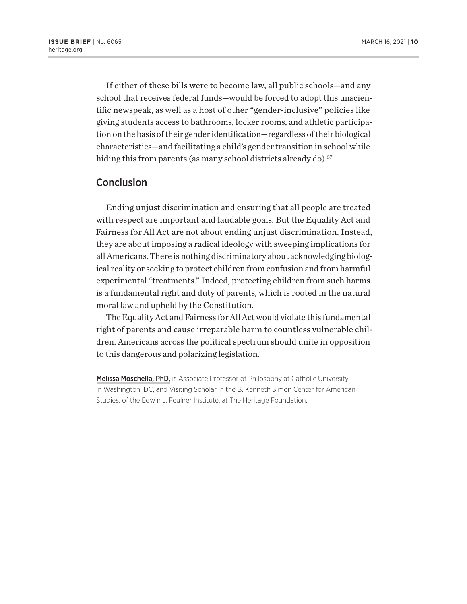If either of these bills were to become law, all public schools—and any school that receives federal funds—would be forced to adopt this unscientific newspeak, as well as a host of other "gender-inclusive" policies like giving students access to bathrooms, locker rooms, and athletic participation on the basis of their gender identification—regardless of their biological characteristics—and facilitating a child's gender transition in school while hiding this from parents (as many school districts already do).<sup>37</sup>

### Conclusion

Ending unjust discrimination and ensuring that all people are treated with respect are important and laudable goals. But the Equality Act and Fairness for All Act are not about ending unjust discrimination. Instead, they are about imposing a radical ideology with sweeping implications for all Americans. There is nothing discriminatory about acknowledging biological reality or seeking to protect children from confusion and from harmful experimental "treatments." Indeed, protecting children from such harms is a fundamental right and duty of parents, which is rooted in the natural moral law and upheld by the Constitution.

The Equality Act and Fairness for All Act would violate this fundamental right of parents and cause irreparable harm to countless vulnerable children. Americans across the political spectrum should unite in opposition to this dangerous and polarizing legislation.

Melissa Moschella, PhD, is Associate Professor of Philosophy at Catholic University in Washington, DC, and Visiting Scholar in the B. Kenneth Simon Center for American Studies, of the Edwin J. Feulner Institute, at The Heritage Foundation.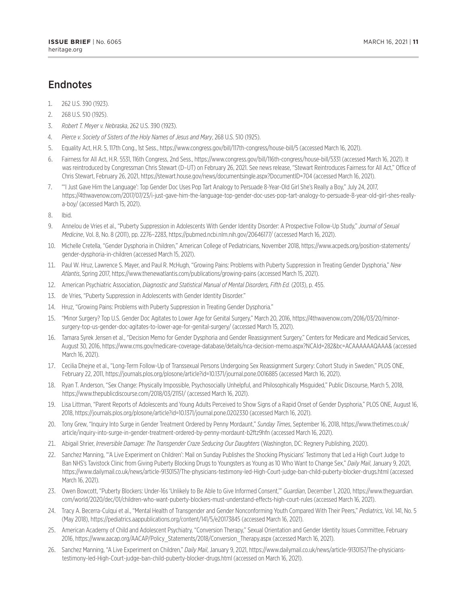## **Endnotes**

- 1. 262 U.S. 390 (1923).
- 2. 268 U.S. 510 (1925).
- 3. *Robert T. Meyer v. Nebraska*, 262 U.S. 390 (1923).
- 4. *Pierce v. Society of Sisters of the Holy Names of Jesus and Mary*, 268 U.S. 510 (1925).
- 5. Equality Act, H.R. 5, 117th Cong., 1st Sess., https://www.congress.gov/bill/117th-congress/house-bill/5 (accessed March 16, 2021).
- 6. Fairness for All Act, H.R. 5531, 116th Congress, 2nd Sess., https://www.congress.gov/bill/116th-congress/house-bill/5331 (accessed March 16, 2021). It was reintroduced by Congressman Chris Stewart (D–UT) on February 26, 2021. See news release, "Stewart Reintroduces Fairness for All Act," Office of Chris Stewart, February 26, 2021, https://stewart.house.gov/news/documentsingle.aspx?DocumentID=704 (accessed March 16, 2021).
- 7. "'I Just Gave Him the Language': Top Gender Doc Uses Pop Tart Analogy to Persuade 8-Year-Old Girl She's Really a Boy," July 24, 2017, https://4thwavenow.com/2017/07/23/i-just-gave-him-the-language-top-gender-doc-uses-pop-tart-analogy-to-persuade-8-year-old-girl-shes-reallya-boy/ (accessed March 15, 2021).
- 8. Ibid.
- 9. Annelou de Vries et al., "Puberty Suppression in Adolescents With Gender Identity Disorder: A Prospective Follow-Up Study," *Journal of Sexual Medicine*, Vol. 8, No. 8 (2011), pp. 2276–2283, https://pubmed.ncbi.nlm.nih.gov/20646177/ (accessed March 16, 2021).
- 10. Michelle Cretella, "Gender Dysphoria in Children," American College of Pediatricians, November 2018, https://www.acpeds.org/position-statements/ gender-dysphoria-in-children (accessed March 15, 2021).
- 11. Paul W. Hruz, Lawrence S. Mayer, and Paul R. McHugh, "Growing Pains: Problems with Puberty Suppression in Treating Gender Dysphoria," *New Atlantis*, Spring 2017, https://www.thenewatlantis.com/publications/growing-pains (accessed March 15, 2021).
- 12. American Psychiatric Association, *Diagnostic and Statistical Manual of Mental Disorders, Fifth Ed.* (2013), p. 455.
- 13. de Vries, "Puberty Suppression in Adolescents with Gender Identity Disorder."
- 14. Hruz, "Growing Pains: Problems with Puberty Suppression in Treating Gender Dysphoria."
- 15. "Minor Surgery? Top U.S. Gender Doc Agitates to Lower Age for Genital Surgery," March 20, 2016, https://4thwavenow.com/2016/03/20/minorsurgery-top-us-gender-doc-agitates-to-lower-age-for-genital-surgery/ (accessed March 15, 2021).
- 16. Tamara Syrek Jensen et al., "Decision Memo for Gender Dysphoria and Gender Reassignment Surgery," Centers for Medicare and Medicaid Services, August 30, 2016, https://www.cms.gov/medicare-coverage-database/details/nca-decision-memo.aspx?NCAId=282&bc=ACAAAAAAQAAA& (accessed March 16, 2021).
- 17. Cecilia Dhejne et al., "Long-Term Follow-Up of Transsexual Persons Undergoing Sex Reassignment Surgery: Cohort Study in Sweden," PLOS ONE, February 22, 2011, https://journals.plos.org/plosone/article?id=10.1371/journal.pone.0016885 (accessed March 16, 2021).
- 18. Ryan T. Anderson, "Sex Change: Physically Impossible, Psychosocially Unhelpful, and Philosophically Misguided," Public Discourse, March 5, 2018, https://www.thepublicdiscourse.com/2018/03/21151/ (accessed March 16, 2021).
- 19. Lisa Littman, "Parent Reports of Adolescents and Young Adults Perceived to Show Signs of a Rapid Onset of Gender Dysphoria," PLOS ONE, August 16, 2018, https://journals.plos.org/plosone/article?id=10.1371/journal.pone.0202330 (accessed March 16, 2021).
- 20. Tony Grew, "Inquiry Into Surge in Gender Treatment Ordered by Penny Mordaunt," *Sunday Times*, September 16, 2018, https://www.thetimes.co.uk/ article/inquiry-into-surge-in-gender-treatment-ordered-by-penny-mordaunt-b2ftz9hfn (accessed March 16, 2021).
- 21. Abigail Shrier, *Irreversible Damage: The Transgender Craze Seducing Our Daughters* (Washington, DC: Regnery Publishing, 2020).
- 22. Sanchez Manning, "'A Live Experiment on Children': Mail on Sunday Publishes the Shocking Physicians' Testimony that Led a High Court Judge to Ban NHS's Tavistock Clinic from Giving Puberty Blocking Drugs to Youngsters as Young as 10 Who Want to Change Sex," *Daily Mail*, January 9, 2021, https://www.dailymail.co.uk/news/article-9130157/The-physicians-testimony-led-High-Court-judge-ban-child-puberty-blocker-drugs.html (accessed March 16, 2021).
- 23. Owen Bowcott, "Puberty Blockers: Under-16s 'Unlikely to Be Able to Give Informed Consent,'" *Guardian*, December 1, 2020, https://www.theguardian. com/world/2020/dec/01/children-who-want-puberty-blockers-must-understand-effects-high-court-rules (accessed March 16, 2021).
- 24. Tracy A. Becerra-Culqui et al., "Mental Health of Transgender and Gender Nonconforming Youth Compared With Their Peers," *Pediatrics*, Vol. 141, No. 5 (May 2018), https://pediatrics.aappublications.org/content/141/5/e20173845 (accessed March 16, 2021).
- 25. American Academy of Child and Adolescent Psychiatry, "Conversion Therapy," Sexual Orientation and Gender Identity Issues Committee, February 2016, https://www.aacap.org/AACAP/Policy\_Statements/2018/Conversion\_Therapy.aspx (accessed March 16, 2021).
- 26. Sanchez Manning, "A Live Experiment on Children," *Daily Mail*, January 9, 2021, https://www.dailymail.co.uk/news/article-9130157/The-physicianstestimony-led-High-Court-judge-ban-child-puberty-blocker-drugs.html (accessed on March 16, 2021).